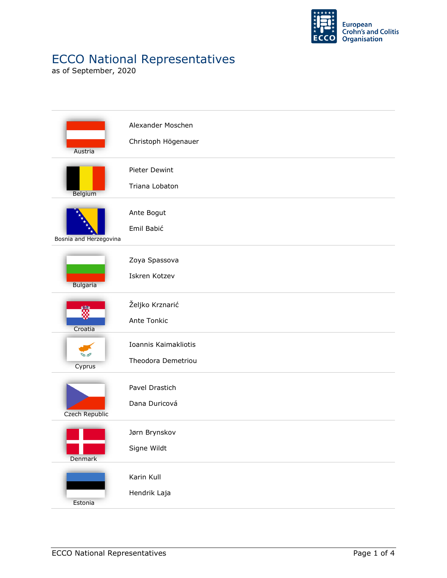

## ECCO National Representatives

as of September, 2020

| Austria                | Alexander Moschen<br>Christoph Högenauer   |
|------------------------|--------------------------------------------|
| Belgium                | Pieter Dewint<br>Triana Lobaton            |
| Bosnia and Herzegovina | Ante Bogut<br>Emil Babić                   |
| <b>Bulgaria</b>        | Zoya Spassova<br>Iskren Kotzev             |
| ã<br>Croatia           | Željko Krznarić<br>Ante Tonkic             |
| Cyprus                 | Ioannis Kaimakliotis<br>Theodora Demetriou |
| Czech Republic         | Pavel Drastich<br>Dana Duricová            |
| Denmark                | Jørn Brynskov<br>Signe Wildt               |
| Estonia                | Karin Kull<br>Hendrik Laja                 |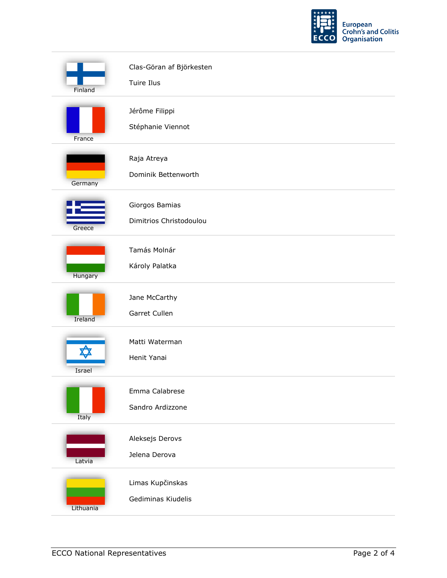

| Finland   | Clas-Göran af Björkesten<br>Tuire Ilus    |
|-----------|-------------------------------------------|
| France    | Jérôme Filippi<br>Stéphanie Viennot       |
| Germany   | Raja Atreya<br>Dominik Bettenworth        |
| Greece    | Giorgos Bamias<br>Dimitrios Christodoulou |
| Hungary   | Tamás Molnár<br>Károly Palatka            |
| Ireland   | Jane McCarthy<br>Garret Cullen            |
| Israel    | Matti Waterman<br>Henit Yanai             |
| Italy     | Emma Calabrese<br>Sandro Ardizzone        |
| Latvia    | Aleksejs Derovs<br>Jelena Derova          |
| Lithuania | Limas Kupčinskas<br>Gediminas Kiudelis    |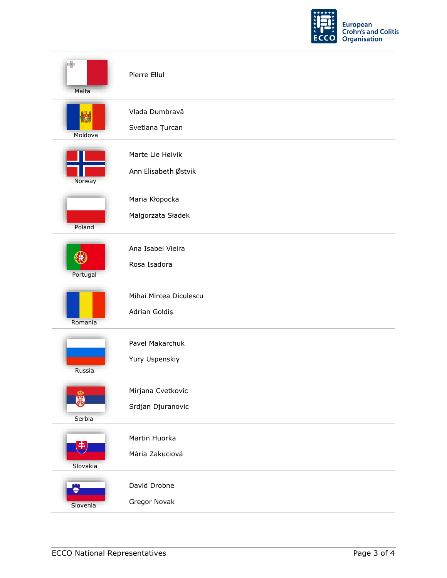

| $\Rightarrow$<br>Malta | Pierre Ellul                             |
|------------------------|------------------------------------------|
| Moldova                | Vlada Dumbravă<br>Svetlana Țurcan        |
| Norway                 | Marte Lie Høivik<br>Ann Elisabeth Østvik |
| Poland                 | Maria Kłopocka<br>Małgorzata Sładek      |
| Portugal               | Ana Isabel Vieira<br>Rosa Isadora        |
| Romania                | Mihai Mircea Diculescu<br>Adrian Goldiș  |
| Russia                 | Pavel Makarchuk<br>Yury Uspenskiy        |
| ൕ<br>黑<br>Serbia       | Mirjana Cvetkovic<br>Srdjan Djuranovic   |
| 电<br>Slovakia          | Martin Huorka<br>Mária Zakuciová         |
| Slovenia               | David Drobne<br>Gregor Novak             |